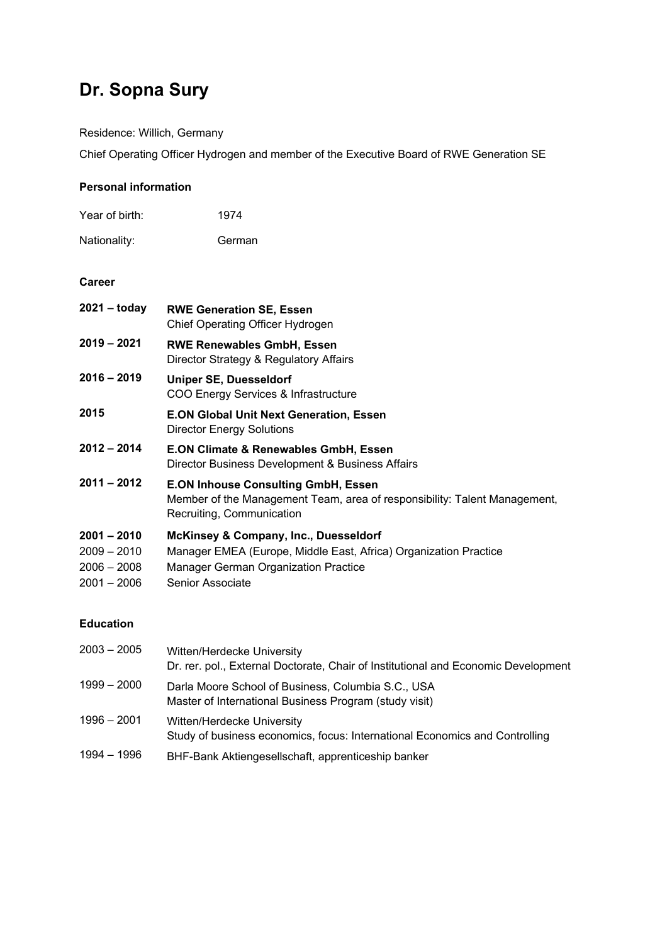# **Dr. Sopna Sury**

Residence: Willich, Germany

Chief Operating Officer Hydrogen and member of the Executive Board of RWE Generation SE

### **Personal information**

| Year of birth: | 1974 |
|----------------|------|
|                |      |

Nationality: German

## **Career**

| $2021 -$ today | <b>RWE Generation SE, Essen</b><br>Chief Operating Officer Hydrogen                                                                                  |
|----------------|------------------------------------------------------------------------------------------------------------------------------------------------------|
| 2019 - 2021    | <b>RWE Renewables GmbH, Essen</b><br>Director Strategy & Regulatory Affairs                                                                          |
| $2016 - 2019$  | <b>Uniper SE, Duesseldorf</b><br>COO Energy Services & Infrastructure                                                                                |
| 2015           | <b>E.ON Global Unit Next Generation, Essen</b><br><b>Director Energy Solutions</b>                                                                   |
| $2012 - 2014$  | <b>E.ON Climate &amp; Renewables GmbH, Essen</b><br>Director Business Development & Business Affairs                                                 |
| $2011 - 2012$  | <b>E.ON Inhouse Consulting GmbH, Essen</b><br>Member of the Management Team, area of responsibility: Talent Management,<br>Recruiting, Communication |
| $2001 - 2010$  | <b>McKinsey &amp; Company, Inc., Duesseldorf</b>                                                                                                     |
| $2009 - 2010$  | Manager EMEA (Europe, Middle East, Africa) Organization Practice                                                                                     |
| $2006 - 2008$  | <b>Manager German Organization Practice</b>                                                                                                          |
| $2001 - 2006$  | Senior Associate                                                                                                                                     |

## **Education**

| 2003 – 2005 | Witten/Herdecke University<br>Dr. rer. pol., External Doctorate, Chair of Institutional and Economic Development |
|-------------|------------------------------------------------------------------------------------------------------------------|
| 1999 – 2000 | Darla Moore School of Business, Columbia S.C., USA<br>Master of International Business Program (study visit)     |
| 1996 - 2001 | Witten/Herdecke University<br>Study of business economics, focus: International Economics and Controlling        |
| 1994 – 1996 | BHF-Bank Aktiengesellschaft, apprenticeship banker                                                               |